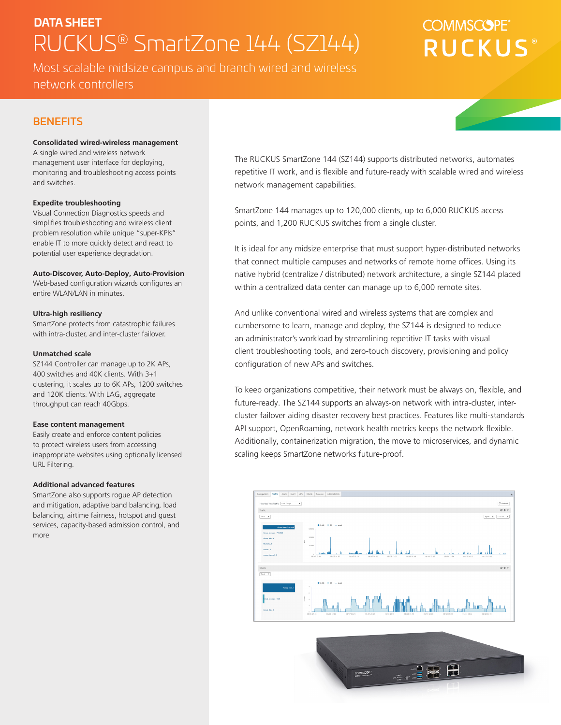# **DATA SHEET** RUCKUS® SmartZone 144 (SZ144)

Most scalable midsize campus and branch wired and wireless network controllers

# **COMMSCOPE RUCKUS**

## **BENEFITS**

#### **Consolidated wired-wireless management**

A single wired and wireless network management user interface for deploying, monitoring and troubleshooting access points and switches.

#### **Expedite troubleshooting**

Visual Connection Diagnostics speeds and simplifies troubleshooting and wireless client problem resolution while unique "super-KPIs" enable IT to more quickly detect and react to potential user experience degradation.

#### **Auto-Discover, Auto-Deploy, Auto-Provision**

Web-based configuration wizards configures an entire WLAN/LAN in minutes.

#### **Ultra-high resiliency**

SmartZone protects from catastrophic failures with intra-cluster, and inter-cluster failover.

#### **Unmatched scale**

SZ144 Controller can manage up to 2K APs, 400 switches and 40K clients. With 3+1 clustering, it scales up to 6K APs, 1200 switches and 120K clients. With LAG, aggregate throughput can reach 40Gbps.

#### **Ease content management**

Easily create and enforce content policies to protect wireless users from accessing inappropriate websites using optionally licensed URL Filtering.

#### **Additional advanced features**

SmartZone also supports rogue AP detection and mitigation, adaptive band balancing, load balancing, airtime fairness, hotspot and guest services, capacity-based admission control, and more

The RUCKUS SmartZone 144 (SZ144) supports distributed networks, automates repetitive IT work, and is flexible and future-ready with scalable wired and wireless network management capabilities.

SmartZone 144 manages up to 120,000 clients, up to 6,000 RUCKUS access points, and 1,200 RUCKUS switches from a single cluster.

It is ideal for any midsize enterprise that must support hyper-distributed networks that connect multiple campuses and networks of remote home offices. Using its native hybrid (centralize / distributed) network architecture, a single SZ144 placed within a centralized data center can manage up to 6,000 remote sites.

And unlike conventional wired and wireless systems that are complex and cumbersome to learn, manage and deploy, the SZ144 is designed to reduce an administrator's workload by streamlining repetitive IT tasks with visual client troubleshooting tools, and zero-touch discovery, provisioning and policy configuration of new APs and switches.

To keep organizations competitive, their network must be always on, flexible, and future-ready. The SZ144 supports an always-on network with intra-cluster, intercluster failover aiding disaster recovery best practices. Features like multi-standards API support, OpenRoaming, network health metrics keeps the network flexible. Additionally, containerization migration, the move to microservices, and dynamic scaling keeps SmartZone networks future-proof.



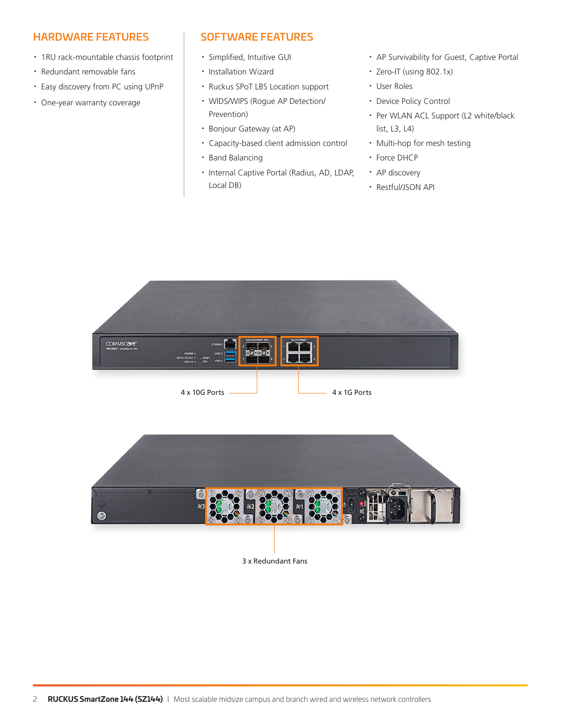## HARDWARE FEATURES

- · 1RU rack-mountable chassis footprint
- · Redundant removable fans
- · Easy discovery from PC using UPnP
- · One-year warranty coverage

## SOFTWARE FEATURES

- · Simplified, Intuitive GUI
- · Installation Wizard
- · Ruckus SPoT LBS Location support
- · WIDS/WIPS (Rogue AP Detection/ Prevention)
- · Bonjour Gateway (at AP)
- · Capacity-based client admission control
- · Band Balancing
- · Internal Captive Portal (Radius, AD, LDAP, Local DB)
- · AP Survivability for Guest, Captive Portal
- · Zero-IT (using 802.1x)
- · User Roles
- · Device Policy Control
- · Per WLAN ACL Support (L2 white/black list, L3, L4)
- · Multi-hop for mesh testing
- · Force DHCP
- · AP discovery
- · Restful/JSON API



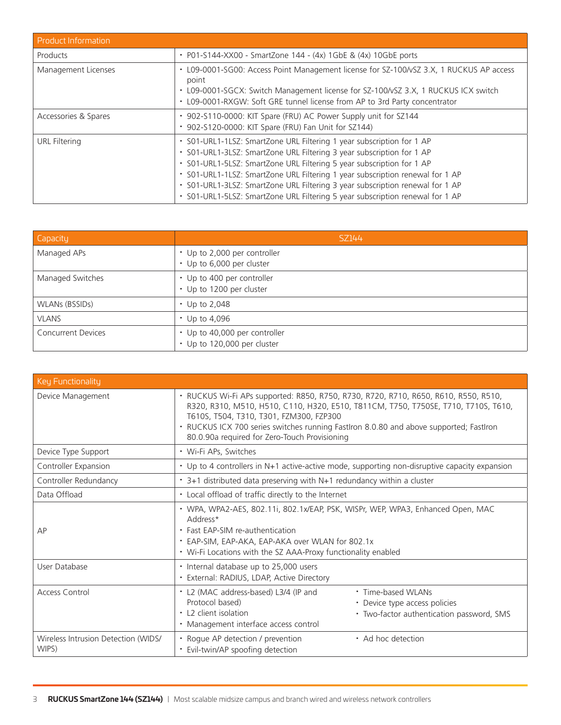| <b>Product Information</b> |                                                                                                                                                                                                                                                                                                                                                                                                                                                                            |
|----------------------------|----------------------------------------------------------------------------------------------------------------------------------------------------------------------------------------------------------------------------------------------------------------------------------------------------------------------------------------------------------------------------------------------------------------------------------------------------------------------------|
| Products                   | • P01-S144-XX00 - SmartZone 144 - $(4x)$ 1GbE & $(4x)$ 10GbE ports                                                                                                                                                                                                                                                                                                                                                                                                         |
| Management Licenses        | L09-0001-SG00: Access Point Management license for SZ-100/vSZ 3.X, 1 RUCKUS AP access<br>point<br>• L09-0001-SGCX: Switch Management license for SZ-100/vSZ 3.X, 1 RUCKUS ICX switch<br>L09-0001-RXGW: Soft GRE tunnel license from AP to 3rd Party concentrator                                                                                                                                                                                                           |
| Accessories & Spares       | 902-S110-0000: KIT Spare (FRU) AC Power Supply unit for SZ144<br>902-S120-0000: KIT Spare (FRU) Fan Unit for SZ144)                                                                                                                                                                                                                                                                                                                                                        |
| URL Filtering              | • S01-URL1-1LSZ: SmartZone URL Filtering 1 year subscription for 1 AP<br>· S01-URL1-3LSZ: SmartZone URL Filtering 3 year subscription for 1 AP<br>· S01-URL1-5LSZ: SmartZone URL Filtering 5 year subscription for 1 AP<br>· S01-URL1-1LSZ: SmartZone URL Filtering 1 year subscription renewal for 1 AP<br>· S01-URL1-3LSZ: SmartZone URL Filtering 3 year subscription renewal for 1 AP<br>· S01-URL1-5LSZ: SmartZone URL Filtering 5 year subscription renewal for 1 AP |

| Capacity                  | SZ144                                                        |
|---------------------------|--------------------------------------------------------------|
| Managed APs               | • Up to 2,000 per controller<br>• Up to 6,000 per cluster    |
| Managed Switches          | • Up to 400 per controller<br>Up to 1200 per cluster         |
| WLANs (BSSIDs)            | $\cdot$ Up to 2,048                                          |
| <b>VLANS</b>              | $\cdot$ Up to 4,096                                          |
| <b>Concurrent Devices</b> | • Up to 40,000 per controller<br>• Up to 120,000 per cluster |

| Key Functionality                            |                                                                                                                                                                                                                                                                                                                                                                 |
|----------------------------------------------|-----------------------------------------------------------------------------------------------------------------------------------------------------------------------------------------------------------------------------------------------------------------------------------------------------------------------------------------------------------------|
| Device Management                            | · RUCKUS Wi-Fi APs supported: R850, R750, R730, R720, R710, R650, R610, R550, R510,<br>R320, R310, M510, H510, C110, H320, E510, T811CM, T750, T750SE, T710, T710S, T610,<br>T610S, T504, T310, T301, FZM300, FZP300<br>• RUCKUS ICX 700 series switches running FastIron 8.0.80 and above supported; FastIron<br>80.0.90a required for Zero-Touch Provisioning |
| Device Type Support                          | · Wi-Fi APs, Switches                                                                                                                                                                                                                                                                                                                                           |
| Controller Expansion                         | • Up to 4 controllers in N+1 active-active mode, supporting non-disruptive capacity expansion                                                                                                                                                                                                                                                                   |
| Controller Redundancy                        | • 3+1 distributed data preserving with N+1 redundancy within a cluster                                                                                                                                                                                                                                                                                          |
| Data Offload                                 | • Local offload of traffic directly to the Internet                                                                                                                                                                                                                                                                                                             |
| AP                                           | · WPA, WPA2-AES, 802.11i, 802.1x/EAP, PSK, WISPr, WEP, WPA3, Enhanced Open, MAC<br>Address*<br>• Fast EAP-SIM re-authentication<br>• EAP-SIM, EAP-AKA, EAP-AKA over WLAN for 802.1x<br>• Wi-Fi Locations with the SZ AAA-Proxy functionality enabled                                                                                                            |
| User Database                                | • Internal database up to 25,000 users<br>· External: RADIUS, LDAP, Active Directory                                                                                                                                                                                                                                                                            |
| <b>Access Control</b>                        | • L2 (MAC address-based) L3/4 (IP and<br>• Time-based WLANs<br>Protocol based)<br>• Device type access policies<br>• L2 client isolation<br>· Two-factor authentication password, SMS<br>· Management interface access control                                                                                                                                  |
| Wireless Intrusion Detection (WIDS/<br>WIPS) | • Rogue AP detection / prevention<br>• Ad hoc detection<br>• Evil-twin/AP spoofing detection                                                                                                                                                                                                                                                                    |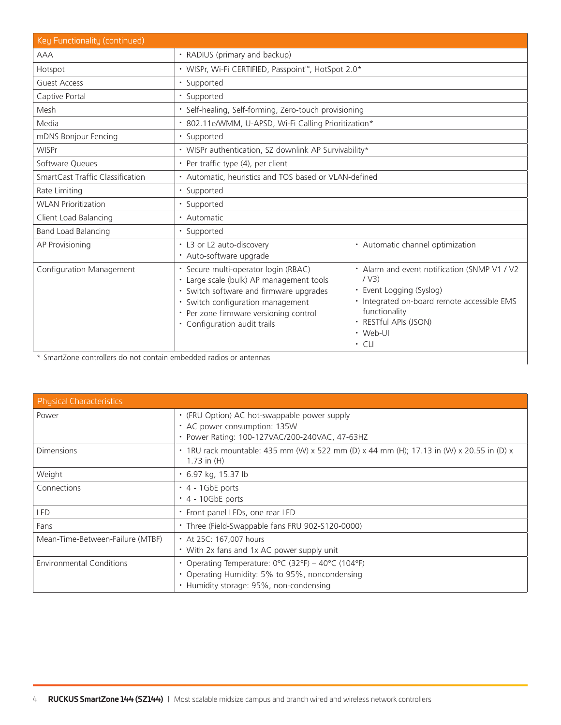| Key Functionality (continued)    |                                                                                                                                                                                                                                          |                                                                                                                                                                                                       |
|----------------------------------|------------------------------------------------------------------------------------------------------------------------------------------------------------------------------------------------------------------------------------------|-------------------------------------------------------------------------------------------------------------------------------------------------------------------------------------------------------|
| <b>AAA</b>                       | • RADIUS (primary and backup)                                                                                                                                                                                                            |                                                                                                                                                                                                       |
| Hotspot                          | • WISPr, Wi-Fi CERTIFIED, Passpoint™, HotSpot 2.0*                                                                                                                                                                                       |                                                                                                                                                                                                       |
| <b>Guest Access</b>              | · Supported                                                                                                                                                                                                                              |                                                                                                                                                                                                       |
| Captive Portal                   | · Supported                                                                                                                                                                                                                              |                                                                                                                                                                                                       |
| Mesh                             | · Self-healing, Self-forming, Zero-touch provisioning                                                                                                                                                                                    |                                                                                                                                                                                                       |
| Media                            | · 802.11e/WMM, U-APSD, Wi-Fi Calling Prioritization*                                                                                                                                                                                     |                                                                                                                                                                                                       |
| mDNS Bonjour Fencing             | · Supported                                                                                                                                                                                                                              |                                                                                                                                                                                                       |
| <b>WISPr</b>                     | • WISPr authentication, SZ downlink AP Survivability*                                                                                                                                                                                    |                                                                                                                                                                                                       |
| Software Queues                  | • Per traffic type (4), per client                                                                                                                                                                                                       |                                                                                                                                                                                                       |
| SmartCast Traffic Classification | • Automatic, heuristics and TOS based or VLAN-defined                                                                                                                                                                                    |                                                                                                                                                                                                       |
| Rate Limiting                    | · Supported                                                                                                                                                                                                                              |                                                                                                                                                                                                       |
| <b>WLAN Prioritization</b>       | • Supported                                                                                                                                                                                                                              |                                                                                                                                                                                                       |
| Client Load Balancing            | • Automatic                                                                                                                                                                                                                              |                                                                                                                                                                                                       |
| <b>Band Load Balancing</b>       | • Supported                                                                                                                                                                                                                              |                                                                                                                                                                                                       |
| AP Provisioning                  | • L3 or L2 auto-discovery<br>• Auto-software upgrade                                                                                                                                                                                     | · Automatic channel optimization                                                                                                                                                                      |
| Configuration Management         | · Secure multi-operator login (RBAC)<br>· Large scale (bulk) AP management tools<br>• Switch software and firmware upgrades<br>Switch configuration management<br>• Per zone firmware versioning control<br>• Configuration audit trails | • Alarm and event notification (SNMP V1 / V2<br>/ V3)<br>• Event Logging (Syslog)<br>· Integrated on-board remote accessible EMS<br>functionality<br>· RESTful APIs (JSON)<br>• Web-UI<br>$\cdot$ CLI |

\* SmartZone controllers do not contain embedded radios or antennas

| <b>Physical Characteristics</b>  |                                                                                                                                                                                      |
|----------------------------------|--------------------------------------------------------------------------------------------------------------------------------------------------------------------------------------|
| Power                            | • (FRU Option) AC hot-swappable power supply<br>• AC power consumption: 135W<br>Power Rating: 100-127VAC/200-240VAC, 47-63HZ                                                         |
| <b>Dimensions</b>                | 1RU rack mountable: 435 mm (W) x 522 mm (D) x 44 mm (H); 17.13 in (W) x 20.55 in (D) x<br>1.73 in $(H)$                                                                              |
| Weight                           | • 6.97 kg, 15.37 lb                                                                                                                                                                  |
| Connections                      | $\cdot$ 4 - 1GbE ports<br>$\cdot$ 4 - 10GbE ports                                                                                                                                    |
| <b>LED</b>                       | • Front panel LEDs, one rear LED                                                                                                                                                     |
| Fans                             | · Three (Field-Swappable fans FRU 902-S120-0000)                                                                                                                                     |
| Mean-Time-Between-Failure (MTBF) | • At 25C: 167,007 hours<br>• With 2x fans and 1x AC power supply unit                                                                                                                |
| <b>Environmental Conditions</b>  | Operating Temperature: $0^{\circ}$ C (32 $^{\circ}$ F) – 40 $^{\circ}$ C (104 $^{\circ}$ F)<br>Operating Humidity: 5% to 95%, noncondensing<br>Humidity storage: 95%, non-condensing |